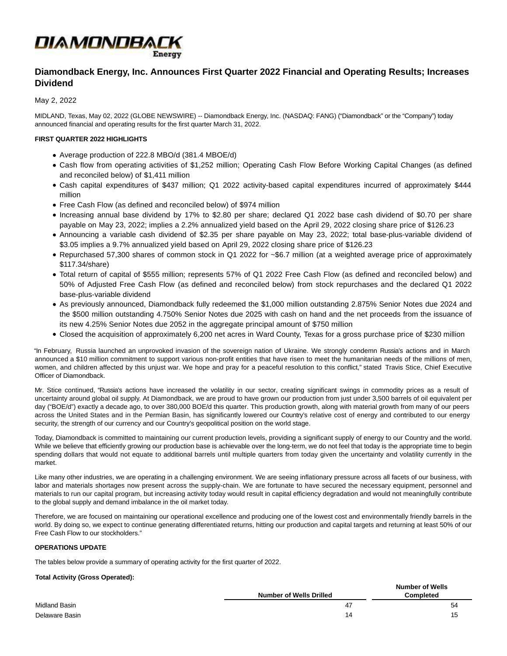

# **Diamondback Energy, Inc. Announces First Quarter 2022 Financial and Operating Results; Increases Dividend**

May 2, 2022

MIDLAND, Texas, May 02, 2022 (GLOBE NEWSWIRE) -- Diamondback Energy, Inc. (NASDAQ: FANG) ("Diamondback" or the "Company") today announced financial and operating results for the first quarter March 31, 2022.

## **FIRST QUARTER 2022 HIGHLIGHTS**

- Average production of 222.8 MBO/d (381.4 MBOE/d)
- Cash flow from operating activities of \$1,252 million; Operating Cash Flow Before Working Capital Changes (as defined and reconciled below) of \$1,411 million
- Cash capital expenditures of \$437 million; Q1 2022 activity-based capital expenditures incurred of approximately \$444 million
- Free Cash Flow (as defined and reconciled below) of \$974 million
- Increasing annual base dividend by 17% to \$2.80 per share; declared Q1 2022 base cash dividend of \$0.70 per share payable on May 23, 2022; implies a 2.2% annualized yield based on the April 29, 2022 closing share price of \$126.23
- Announcing a variable cash dividend of \$2.35 per share payable on May 23, 2022; total base-plus-variable dividend of \$3.05 implies a 9.7% annualized yield based on April 29, 2022 closing share price of \$126.23
- Repurchased 57,300 shares of common stock in Q1 2022 for ~\$6.7 million (at a weighted average price of approximately \$117.34/share)
- Total return of capital of \$555 million; represents 57% of Q1 2022 Free Cash Flow (as defined and reconciled below) and 50% of Adjusted Free Cash Flow (as defined and reconciled below) from stock repurchases and the declared Q1 2022 base-plus-variable dividend
- As previously announced, Diamondback fully redeemed the \$1,000 million outstanding 2.875% Senior Notes due 2024 and the \$500 million outstanding 4.750% Senior Notes due 2025 with cash on hand and the net proceeds from the issuance of its new 4.25% Senior Notes due 2052 in the aggregate principal amount of \$750 million
- Closed the acquisition of approximately 6,200 net acres in Ward County, Texas for a gross purchase price of \$230 million

"In February, Russia launched an unprovoked invasion of the sovereign nation of Ukraine. We strongly condemn Russia's actions and in March announced a \$10 million commitment to support various non-profit entities that have risen to meet the humanitarian needs of the millions of men, women, and children affected by this unjust war. We hope and pray for a peaceful resolution to this conflict," stated Travis Stice, Chief Executive Officer of Diamondback.

Mr. Stice continued, "Russia's actions have increased the volatility in our sector, creating significant swings in commodity prices as a result of uncertainty around global oil supply. At Diamondback, we are proud to have grown our production from just under 3,500 barrels of oil equivalent per day ("BOE/d") exactly a decade ago, to over 380,000 BOE/d this quarter. This production growth, along with material growth from many of our peers across the United States and in the Permian Basin, has significantly lowered our Country's relative cost of energy and contributed to our energy security, the strength of our currency and our Country's geopolitical position on the world stage.

Today, Diamondback is committed to maintaining our current production levels, providing a significant supply of energy to our Country and the world. While we believe that efficiently growing our production base is achievable over the long-term, we do not feel that today is the appropriate time to begin spending dollars that would not equate to additional barrels until multiple quarters from today given the uncertainty and volatility currently in the market.

Like many other industries, we are operating in a challenging environment. We are seeing inflationary pressure across all facets of our business, with labor and materials shortages now present across the supply-chain. We are fortunate to have secured the necessary equipment, personnel and materials to run our capital program, but increasing activity today would result in capital efficiency degradation and would not meaningfully contribute to the global supply and demand imbalance in the oil market today.

Therefore, we are focused on maintaining our operational excellence and producing one of the lowest cost and environmentally friendly barrels in the world. By doing so, we expect to continue generating differentiated returns, hitting our production and capital targets and returning at least 50% of our Free Cash Flow to our stockholders."

## **OPERATIONS UPDATE**

The tables below provide a summary of operating activity for the first quarter of 2022.

## **Total Activity (Gross Operated):**

|                | <b>Number of Wells Drilled</b> | <b>Number of Wells</b><br>Completed |
|----------------|--------------------------------|-------------------------------------|
| Midland Basin  | 47                             | 54                                  |
| Delaware Basin | 14                             | 15                                  |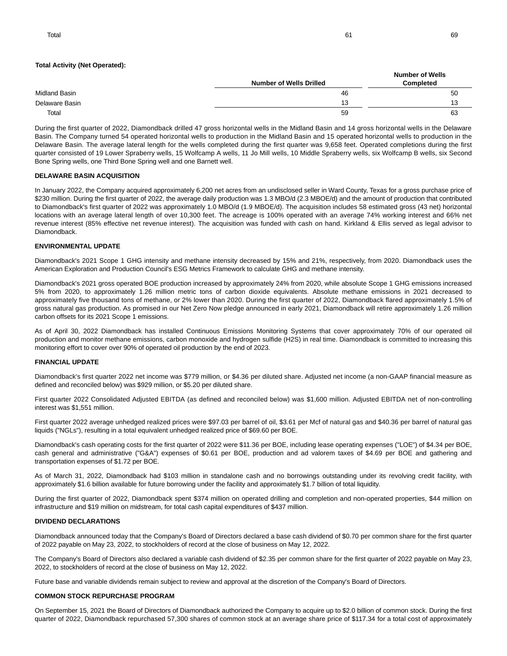## **Total Activity (Net Operated):**

|                | <b>Number of Wells Drilled</b> | <b>Number of Wells</b><br><b>Completed</b> |
|----------------|--------------------------------|--------------------------------------------|
| Midland Basin  | 46                             | 50                                         |
| Delaware Basin | 13                             | ◡                                          |
| Total          | 59                             | 63                                         |

During the first quarter of 2022, Diamondback drilled 47 gross horizontal wells in the Midland Basin and 14 gross horizontal wells in the Delaware Basin. The Company turned 54 operated horizontal wells to production in the Midland Basin and 15 operated horizontal wells to production in the Delaware Basin. The average lateral length for the wells completed during the first quarter was 9,658 feet. Operated completions during the first quarter consisted of 19 Lower Spraberry wells, 15 Wolfcamp A wells, 11 Jo Mill wells, 10 Middle Spraberry wells, six Wolfcamp B wells, six Second Bone Spring wells, one Third Bone Spring well and one Barnett well.

## **DELAWARE BASIN ACQUISITION**

In January 2022, the Company acquired approximately 6,200 net acres from an undisclosed seller in Ward County, Texas for a gross purchase price of \$230 million. During the first quarter of 2022, the average daily production was 1.3 MBO/d (2.3 MBOE/d) and the amount of production that contributed to Diamondback's first quarter of 2022 was approximately 1.0 MBO/d (1.9 MBOE/d). The acquisition includes 58 estimated gross (43 net) horizontal locations with an average lateral length of over 10,300 feet. The acreage is 100% operated with an average 74% working interest and 66% net revenue interest (85% effective net revenue interest). The acquisition was funded with cash on hand. Kirkland & Ellis served as legal advisor to Diamondback.

### **ENVIRONMENTAL UPDATE**

Diamondback's 2021 Scope 1 GHG intensity and methane intensity decreased by 15% and 21%, respectively, from 2020. Diamondback uses the American Exploration and Production Council's ESG Metrics Framework to calculate GHG and methane intensity.

Diamondback's 2021 gross operated BOE production increased by approximately 24% from 2020, while absolute Scope 1 GHG emissions increased 5% from 2020, to approximately 1.26 million metric tons of carbon dioxide equivalents. Absolute methane emissions in 2021 decreased to approximately five thousand tons of methane, or 2% lower than 2020. During the first quarter of 2022, Diamondback flared approximately 1.5% of gross natural gas production. As promised in our Net Zero Now pledge announced in early 2021, Diamondback will retire approximately 1.26 million carbon offsets for its 2021 Scope 1 emissions.

As of April 30, 2022 Diamondback has installed Continuous Emissions Monitoring Systems that cover approximately 70% of our operated oil production and monitor methane emissions, carbon monoxide and hydrogen sulfide (H2S) in real time. Diamondback is committed to increasing this monitoring effort to cover over 90% of operated oil production by the end of 2023.

#### **FINANCIAL UPDATE**

Diamondback's first quarter 2022 net income was \$779 million, or \$4.36 per diluted share. Adjusted net income (a non-GAAP financial measure as defined and reconciled below) was \$929 million, or \$5.20 per diluted share.

First quarter 2022 Consolidated Adjusted EBITDA (as defined and reconciled below) was \$1,600 million. Adjusted EBITDA net of non-controlling interest was \$1,551 million.

First quarter 2022 average unhedged realized prices were \$97.03 per barrel of oil, \$3.61 per Mcf of natural gas and \$40.36 per barrel of natural gas liquids ("NGLs"), resulting in a total equivalent unhedged realized price of \$69.60 per BOE.

Diamondback's cash operating costs for the first quarter of 2022 were \$11.36 per BOE, including lease operating expenses ("LOE") of \$4.34 per BOE, cash general and administrative ("G&A") expenses of \$0.61 per BOE, production and ad valorem taxes of \$4.69 per BOE and gathering and transportation expenses of \$1.72 per BOE.

As of March 31, 2022, Diamondback had \$103 million in standalone cash and no borrowings outstanding under its revolving credit facility, with approximately \$1.6 billion available for future borrowing under the facility and approximately \$1.7 billion of total liquidity.

During the first quarter of 2022, Diamondback spent \$374 million on operated drilling and completion and non-operated properties, \$44 million on infrastructure and \$19 million on midstream, for total cash capital expenditures of \$437 million.

#### **DIVIDEND DECLARATIONS**

Diamondback announced today that the Company's Board of Directors declared a base cash dividend of \$0.70 per common share for the first quarter of 2022 payable on May 23, 2022, to stockholders of record at the close of business on May 12, 2022.

The Company's Board of Directors also declared a variable cash dividend of \$2.35 per common share for the first quarter of 2022 payable on May 23, 2022, to stockholders of record at the close of business on May 12, 2022.

Future base and variable dividends remain subject to review and approval at the discretion of the Company's Board of Directors.

### **COMMON STOCK REPURCHASE PROGRAM**

On September 15, 2021 the Board of Directors of Diamondback authorized the Company to acquire up to \$2.0 billion of common stock. During the first quarter of 2022, Diamondback repurchased 57,300 shares of common stock at an average share price of \$117.34 for a total cost of approximately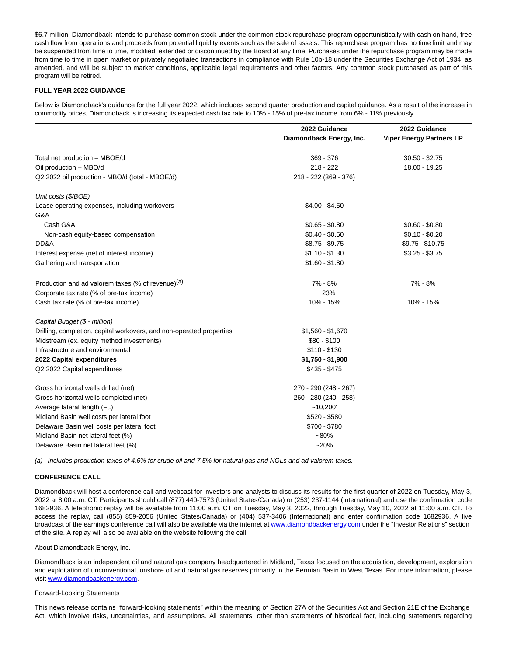\$6.7 million. Diamondback intends to purchase common stock under the common stock repurchase program opportunistically with cash on hand, free cash flow from operations and proceeds from potential liquidity events such as the sale of assets. This repurchase program has no time limit and may be suspended from time to time, modified, extended or discontinued by the Board at any time. Purchases under the repurchase program may be made from time to time in open market or privately negotiated transactions in compliance with Rule 10b-18 under the Securities Exchange Act of 1934, as amended, and will be subject to market conditions, applicable legal requirements and other factors. Any common stock purchased as part of this program will be retired.

## **FULL YEAR 2022 GUIDANCE**

Below is Diamondback's guidance for the full year 2022, which includes second quarter production and capital guidance. As a result of the increase in commodity prices, Diamondback is increasing its expected cash tax rate to 10% - 15% of pre-tax income from 6% - 11% previously.

|                                                                      | 2022 Guidance            | 2022 Guidance                   |
|----------------------------------------------------------------------|--------------------------|---------------------------------|
|                                                                      | Diamondback Energy, Inc. | <b>Viper Energy Partners LP</b> |
|                                                                      |                          |                                 |
| Total net production - MBOE/d                                        | 369 - 376                | $30.50 - 32.75$                 |
| Oil production - MBO/d                                               | $218 - 222$              | 18.00 - 19.25                   |
| Q2 2022 oil production - MBO/d (total - MBOE/d)                      | 218 - 222 (369 - 376)    |                                 |
| Unit costs (\$/BOE)                                                  |                          |                                 |
| Lease operating expenses, including workovers                        | $$4.00 - $4.50$          |                                 |
| G&A                                                                  |                          |                                 |
| Cash G&A                                                             | $$0.65 - $0.80$          | $$0.60 - $0.80$                 |
| Non-cash equity-based compensation                                   | $$0.40 - $0.50$          | $$0.10 - $0.20$                 |
| DD&A                                                                 | $$8.75 - $9.75$          | $$9.75 - $10.75$                |
| Interest expense (net of interest income)                            | $$1.10 - $1.30$          | $$3.25 - $3.75$                 |
| Gathering and transportation                                         | $$1.60 - $1.80$          |                                 |
| Production and ad valorem taxes (% of revenue) <sup>(a)</sup>        | 7% - 8%                  | 7% - 8%                         |
| Corporate tax rate (% of pre-tax income)                             | 23%                      |                                 |
| Cash tax rate (% of pre-tax income)                                  | 10% - 15%                | 10% - 15%                       |
| Capital Budget (\$ - million)                                        |                          |                                 |
| Drilling, completion, capital workovers, and non-operated properties | $$1,560 - $1,670$        |                                 |
| Midstream (ex. equity method investments)                            | $$80 - $100$             |                                 |
| Infrastructure and environmental                                     | $$110 - $130$            |                                 |
| 2022 Capital expenditures                                            | $$1,750 - $1,900$        |                                 |
| Q2 2022 Capital expenditures                                         | $$435 - $475$            |                                 |
| Gross horizontal wells drilled (net)                                 | 270 - 290 (248 - 267)    |                                 |
| Gross horizontal wells completed (net)                               | 260 - 280 (240 - 258)    |                                 |
| Average lateral length (Ft.)                                         | ~10,200                  |                                 |
| Midland Basin well costs per lateral foot                            | $$520 - $580$            |                                 |
| Delaware Basin well costs per lateral foot                           | \$700 - \$780            |                                 |
| Midland Basin net lateral feet (%)                                   | $-80%$                   |                                 |
| Delaware Basin net lateral feet (%)                                  | $-20%$                   |                                 |

(a) Includes production taxes of 4.6% for crude oil and 7.5% for natural gas and NGLs and ad valorem taxes.

## **CONFERENCE CALL**

Diamondback will host a conference call and webcast for investors and analysts to discuss its results for the first quarter of 2022 on Tuesday, May 3, 2022 at 8:00 a.m. CT. Participants should call (877) 440-7573 (United States/Canada) or (253) 237-1144 (International) and use the confirmation code 1682936. A telephonic replay will be available from 11:00 a.m. CT on Tuesday, May 3, 2022, through Tuesday, May 10, 2022 at 11:00 a.m. CT. To access the replay, call (855) 859-2056 (United States/Canada) or (404) 537-3406 (International) and enter confirmation code 1682936. A live broadcast of the earnings conference call will also be available via the internet a[t www.diamondbackenergy.com u](http://www.diamondbackenergy.com/)nder the "Investor Relations" section of the site. A replay will also be available on the website following the call.

About Diamondback Energy, Inc.

Diamondback is an independent oil and natural gas company headquartered in Midland, Texas focused on the acquisition, development, exploration and exploitation of unconventional, onshore oil and natural gas reserves primarily in the Permian Basin in West Texas. For more information, please visit [www.diamondbackenergy.com.](http://www.diamondbackenergy.com/)

## Forward-Looking Statements

This news release contains "forward-looking statements" within the meaning of Section 27A of the Securities Act and Section 21E of the Exchange Act, which involve risks, uncertainties, and assumptions. All statements, other than statements of historical fact, including statements regarding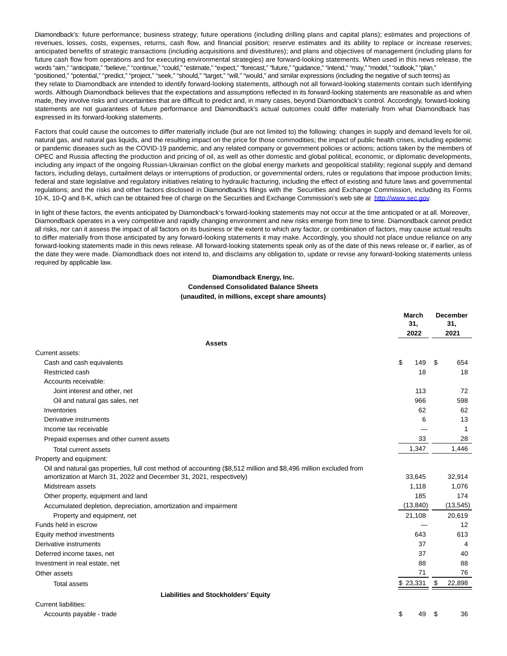Diamondback's: future performance; business strategy; future operations (including drilling plans and capital plans); estimates and projections of revenues, losses, costs, expenses, returns, cash flow, and financial position; reserve estimates and its ability to replace or increase reserves; anticipated benefits of strategic transactions (including acquisitions and divestitures); and plans and objectives of management (including plans for future cash flow from operations and for executing environmental strategies) are forward-looking statements. When used in this news release, the words "aim," "anticipate," "believe," "continue," "could," "estimate," "expect," "forecast," "future," "guidance," "intend," "may," "model," "outlook," "plan," "positioned," "potential," "predict," "project," "seek," "should," "target," "will," "would," and similar expressions (including the negative of such terms) as they relate to Diamondback are intended to identify forward-looking statements, although not all forward-looking statements contain such identifying words. Although Diamondback believes that the expectations and assumptions reflected in its forward-looking statements are reasonable as and when made, they involve risks and uncertainties that are difficult to predict and, in many cases, beyond Diamondback's control. Accordingly, forward-looking statements are not guarantees of future performance and Diamondback's actual outcomes could differ materially from what Diamondback has expressed in its forward-looking statements.

Factors that could cause the outcomes to differ materially include (but are not limited to) the following: changes in supply and demand levels for oil, natural gas, and natural gas liquids, and the resulting impact on the price for those commodities; the impact of public health crises, including epidemic or pandemic diseases such as the COVID-19 pandemic, and any related company or government policies or actions; actions taken by the members of OPEC and Russia affecting the production and pricing of oil, as well as other domestic and global political, economic, or diplomatic developments, including any impact of the ongoing Russian-Ukrainian conflict on the global energy markets and geopolitical stability; regional supply and demand factors, including delays, curtailment delays or interruptions of production, or governmental orders, rules or regulations that impose production limits; federal and state legislative and regulatory initiatives relating to hydraulic fracturing, including the effect of existing and future laws and governmental regulations; and the risks and other factors disclosed in Diamondback's filings with the Securities and Exchange Commission, including its Forms 10-K, 10-Q and 8-K, which can be obtained free of charge on the Securities and Exchange Commission's web site at [http://www.sec.gov.](http://www.sec.gov/)

In light of these factors, the events anticipated by Diamondback's forward-looking statements may not occur at the time anticipated or at all. Moreover, Diamondback operates in a very competitive and rapidly changing environment and new risks emerge from time to time. Diamondback cannot predict all risks, nor can it assess the impact of all factors on its business or the extent to which any factor, or combination of factors, may cause actual results to differ materially from those anticipated by any forward-looking statements it may make. Accordingly, you should not place undue reliance on any forward-looking statements made in this news release. All forward-looking statements speak only as of the date of this news release or, if earlier, as of the date they were made. Diamondback does not intend to, and disclaims any obligation to, update or revise any forward-looking statements unless required by applicable law.

## **Diamondback Energy, Inc. Condensed Consolidated Balance Sheets (unaudited, in millions, except share amounts)**

|                                                                                                                   | <b>March</b><br>31,<br>2022 |           | <b>December</b><br>31,<br>2021 |             |
|-------------------------------------------------------------------------------------------------------------------|-----------------------------|-----------|--------------------------------|-------------|
| <b>Assets</b>                                                                                                     |                             |           |                                |             |
| Current assets:                                                                                                   |                             |           |                                |             |
| Cash and cash equivalents                                                                                         | \$                          | 149       | \$                             | 654         |
| Restricted cash                                                                                                   |                             | 18        |                                | 18          |
| Accounts receivable:                                                                                              |                             |           |                                |             |
| Joint interest and other, net                                                                                     |                             | 113       |                                | 72          |
| Oil and natural gas sales, net                                                                                    |                             | 966       |                                | 598         |
| Inventories                                                                                                       |                             | 62        |                                | 62          |
| Derivative instruments                                                                                            |                             | 6         |                                | 13          |
| Income tax receivable                                                                                             |                             |           |                                | $\mathbf 1$ |
| Prepaid expenses and other current assets                                                                         |                             | 33        |                                | 28          |
| Total current assets                                                                                              |                             | 1,347     |                                | 1,446       |
| Property and equipment:                                                                                           |                             |           |                                |             |
| Oil and natural gas properties, full cost method of accounting (\$8,512 million and \$8,496 million excluded from |                             |           |                                |             |
| amortization at March 31, 2022 and December 31, 2021, respectively)                                               |                             | 33,645    |                                | 32,914      |
| Midstream assets                                                                                                  |                             | 1,118     |                                | 1,076       |
| Other property, equipment and land                                                                                |                             | 185       |                                | 174         |
| Accumulated depletion, depreciation, amortization and impairment                                                  |                             | (13, 840) |                                | (13, 545)   |
| Property and equipment, net                                                                                       |                             | 21,108    |                                | 20,619      |
| Funds held in escrow                                                                                              |                             |           |                                | 12          |
| Equity method investments                                                                                         |                             | 643       |                                | 613         |
| Derivative instruments                                                                                            |                             | 37        |                                | 4           |
| Deferred income taxes, net                                                                                        |                             | 37        |                                | 40          |
| Investment in real estate, net                                                                                    |                             | 88        |                                | 88          |
| Other assets                                                                                                      |                             | 71        |                                | 76          |
| Total assets                                                                                                      |                             | \$23,331  | \$                             | 22,898      |
| <b>Liabilities and Stockholders' Equity</b>                                                                       |                             |           |                                |             |
| <b>Current liabilities:</b>                                                                                       |                             |           |                                |             |
| Accounts payable - trade                                                                                          | \$                          | 49        | \$                             | 36          |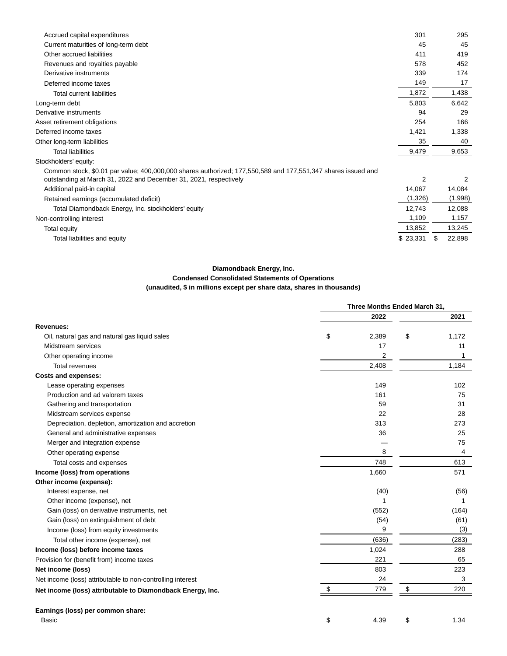| Accrued capital expenditures                                                                                 | 301      |     | 295     |
|--------------------------------------------------------------------------------------------------------------|----------|-----|---------|
| Current maturities of long-term debt                                                                         | 45       |     | 45      |
| Other accrued liabilities                                                                                    | 411      |     | 419     |
| Revenues and royalties payable                                                                               | 578      |     | 452     |
| Derivative instruments                                                                                       | 339      |     | 174     |
| Deferred income taxes                                                                                        | 149      |     | 17      |
| <b>Total current liabilities</b>                                                                             | 1,872    |     | 1,438   |
| Long-term debt                                                                                               | 5,803    |     | 6,642   |
| Derivative instruments                                                                                       | 94       |     | 29      |
| Asset retirement obligations                                                                                 | 254      |     | 166     |
| Deferred income taxes                                                                                        | 1,421    |     | 1,338   |
| Other long-term liabilities                                                                                  | 35       |     | 40      |
| <b>Total liabilities</b>                                                                                     | 9,479    |     | 9,653   |
| Stockholders' equity:                                                                                        |          |     |         |
| Common stock, \$0.01 par value; 400,000,000 shares authorized; 177,550,589 and 177,551,347 shares issued and |          |     |         |
| outstanding at March 31, 2022 and December 31, 2021, respectively                                            | 2        |     | 2       |
| Additional paid-in capital                                                                                   | 14,067   |     | 14,084  |
| Retained earnings (accumulated deficit)                                                                      | (1,326)  |     | (1,998) |
| Total Diamondback Energy, Inc. stockholders' equity                                                          | 12,743   |     | 12,088  |
| Non-controlling interest                                                                                     | 1,109    |     | 1,157   |
| Total equity                                                                                                 | 13,852   |     | 13,245  |
| Total liabilities and equity                                                                                 | \$23,331 | \$. | 22,898  |
|                                                                                                              |          |     |         |

## **Diamondback Energy, Inc.**

# **Condensed Consolidated Statements of Operations**

# **(unaudited, \$ in millions except per share data, shares in thousands)**

|                                                            | Three Months Ended March 31, |       |    |       |
|------------------------------------------------------------|------------------------------|-------|----|-------|
|                                                            |                              | 2022  |    | 2021  |
| <b>Revenues:</b>                                           |                              |       |    |       |
| Oil, natural gas and natural gas liquid sales              | \$                           | 2,389 | \$ | 1,172 |
| Midstream services                                         |                              | 17    |    | 11    |
| Other operating income                                     |                              | 2     |    | 1     |
| <b>Total revenues</b>                                      |                              | 2,408 |    | 1,184 |
| Costs and expenses:                                        |                              |       |    |       |
| Lease operating expenses                                   |                              | 149   |    | 102   |
| Production and ad valorem taxes                            |                              | 161   |    | 75    |
| Gathering and transportation                               |                              | 59    |    | 31    |
| Midstream services expense                                 |                              | 22    |    | 28    |
| Depreciation, depletion, amortization and accretion        |                              | 313   |    | 273   |
| General and administrative expenses                        |                              | 36    |    | 25    |
| Merger and integration expense                             |                              |       |    | 75    |
| Other operating expense                                    |                              | 8     |    | 4     |
| Total costs and expenses                                   |                              | 748   |    | 613   |
| Income (loss) from operations                              |                              | 1,660 |    | 571   |
| Other income (expense):                                    |                              |       |    |       |
| Interest expense, net                                      |                              | (40)  |    | (56)  |
| Other income (expense), net                                |                              |       |    | 1     |
| Gain (loss) on derivative instruments, net                 |                              | (552) |    | (164) |
| Gain (loss) on extinguishment of debt                      |                              | (54)  |    | (61)  |
| Income (loss) from equity investments                      |                              | 9     |    | (3)   |
| Total other income (expense), net                          |                              | (636) |    | (283) |
| Income (loss) before income taxes                          |                              | 1,024 |    | 288   |
| Provision for (benefit from) income taxes                  |                              | 221   |    | 65    |
| Net income (loss)                                          |                              | 803   |    | 223   |
| Net income (loss) attributable to non-controlling interest |                              | 24    |    | 3     |
| Net income (loss) attributable to Diamondback Energy, Inc. | \$                           | 779   | \$ | 220   |
| Earnings (loss) per common share:                          |                              |       |    |       |
| <b>Basic</b>                                               | \$                           | 4.39  | \$ | 1.34  |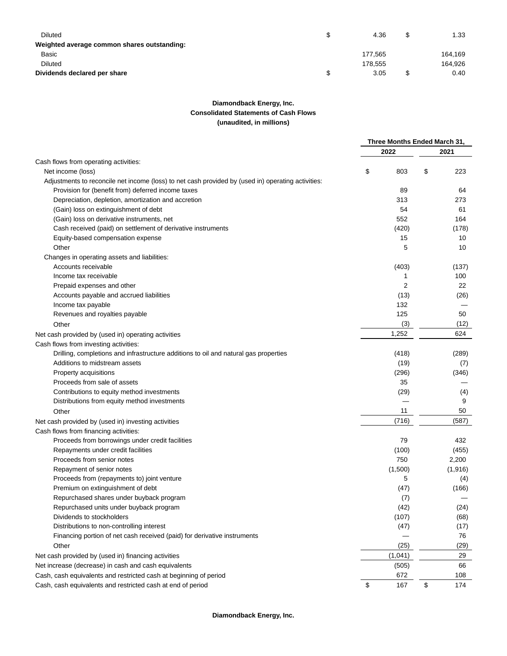| <b>Diluted</b>                              | 4.36    | 1.33    |
|---------------------------------------------|---------|---------|
| Weighted average common shares outstanding: |         |         |
| Basic                                       | 177.565 | 164.169 |
| <b>Diluted</b>                              | 178.555 | 164.926 |
| Dividends declared per share                | 3.05    | 0.40    |
|                                             |         |         |

# **Diamondback Energy, Inc. Consolidated Statements of Cash Flows (unaudited, in millions)**

|                                                                                                    | Three Months Ended March 31, |                |      |                |
|----------------------------------------------------------------------------------------------------|------------------------------|----------------|------|----------------|
|                                                                                                    | 2022                         |                | 2021 |                |
| Cash flows from operating activities:                                                              |                              |                |      |                |
| Net income (loss)                                                                                  | \$                           | 803            | \$   | 223            |
| Adjustments to reconcile net income (loss) to net cash provided by (used in) operating activities: |                              |                |      |                |
| Provision for (benefit from) deferred income taxes                                                 |                              | 89             |      | 64             |
| Depreciation, depletion, amortization and accretion                                                |                              | 313            |      | 273            |
| (Gain) loss on extinguishment of debt                                                              |                              | 54             |      | 61             |
| (Gain) loss on derivative instruments, net                                                         |                              | 552            |      | 164            |
| Cash received (paid) on settlement of derivative instruments                                       |                              | (420)          |      | (178)          |
| Equity-based compensation expense                                                                  |                              | 15             |      | 10             |
| Other                                                                                              |                              | 5              |      | 10             |
| Changes in operating assets and liabilities:                                                       |                              |                |      |                |
| Accounts receivable                                                                                |                              | (403)          |      | (137)          |
| Income tax receivable                                                                              |                              | 1              |      | 100            |
| Prepaid expenses and other                                                                         |                              | $\overline{2}$ |      | 22             |
| Accounts payable and accrued liabilities                                                           |                              | (13)           |      | (26)           |
| Income tax payable                                                                                 |                              | 132            |      |                |
| Revenues and royalties payable                                                                     |                              | 125            |      | 50             |
| Other                                                                                              |                              | (3)            |      | (12)           |
| Net cash provided by (used in) operating activities                                                |                              | 1,252          |      | 624            |
| Cash flows from investing activities:                                                              |                              |                |      |                |
| Drilling, completions and infrastructure additions to oil and natural gas properties               |                              | (418)          |      | (289)          |
| Additions to midstream assets                                                                      |                              | (19)           |      | (7)            |
| Property acquisitions                                                                              |                              | (296)          |      | (346)          |
| Proceeds from sale of assets                                                                       |                              | 35             |      |                |
| Contributions to equity method investments                                                         |                              | (29)           |      | (4)            |
| Distributions from equity method investments                                                       |                              |                |      | 9              |
| Other                                                                                              |                              | 11             |      | 50             |
|                                                                                                    |                              | (716)          |      | (587)          |
| Net cash provided by (used in) investing activities<br>Cash flows from financing activities:       |                              |                |      |                |
|                                                                                                    |                              | 79             |      | 432            |
| Proceeds from borrowings under credit facilities                                                   |                              |                |      |                |
| Repayments under credit facilities<br>Proceeds from senior notes                                   |                              | (100)<br>750   |      | (455)<br>2,200 |
|                                                                                                    |                              |                |      |                |
| Repayment of senior notes                                                                          |                              | (1,500)        |      | (1, 916)       |
| Proceeds from (repayments to) joint venture                                                        |                              | 5              |      | (4)            |
| Premium on extinguishment of debt                                                                  |                              | (47)           |      | (166)          |
| Repurchased shares under buyback program                                                           |                              | (7)            |      |                |
| Repurchased units under buyback program<br>Dividends to stockholders                               |                              | (42)           |      | (24)           |
|                                                                                                    |                              | (107)          |      | (68)           |
| Distributions to non-controlling interest                                                          |                              | (47)           |      | (17)           |
| Financing portion of net cash received (paid) for derivative instruments                           |                              |                |      | 76             |
| Other                                                                                              |                              | (25)           |      | (29)           |
| Net cash provided by (used in) financing activities                                                |                              | (1,041)        |      | 29             |
| Net increase (decrease) in cash and cash equivalents                                               |                              | (505)          |      | 66             |
| Cash, cash equivalents and restricted cash at beginning of period                                  |                              | 672            |      | 108            |
| Cash, cash equivalents and restricted cash at end of period                                        | \$                           | 167            | \$   | 174            |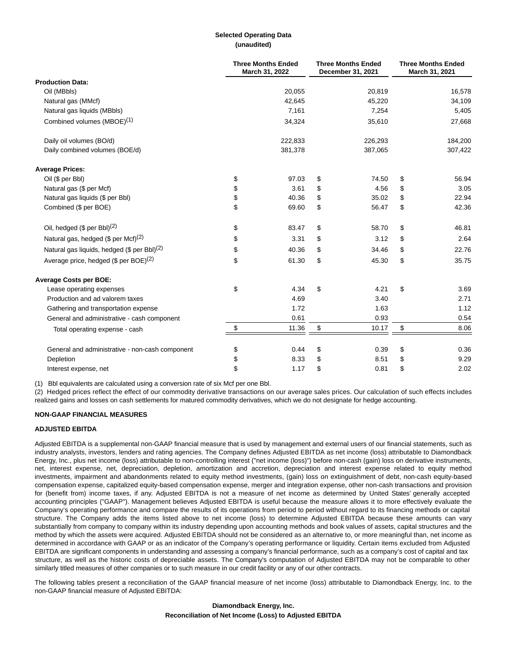# **Selected Operating Data (unaudited)**

|                                                         | <b>Three Months Ended</b><br>March 31, 2022 | <b>Three Months Ended</b><br>December 31, 2021 | <b>Three Months Ended</b><br>March 31, 2021 |
|---------------------------------------------------------|---------------------------------------------|------------------------------------------------|---------------------------------------------|
| <b>Production Data:</b>                                 |                                             |                                                |                                             |
| Oil (MBbls)                                             | 20,055                                      | 20,819                                         | 16,578                                      |
| Natural gas (MMcf)                                      | 42,645                                      | 45,220                                         | 34,109                                      |
| Natural gas liquids (MBbls)                             | 7,161                                       | 7,254                                          | 5,405                                       |
| Combined volumes (MBOE) <sup>(1)</sup>                  | 34,324                                      | 35,610                                         | 27,668                                      |
| Daily oil volumes (BO/d)                                | 222,833                                     | 226,293                                        | 184,200                                     |
| Daily combined volumes (BOE/d)                          | 381,378                                     | 387,065                                        | 307,422                                     |
| <b>Average Prices:</b>                                  |                                             |                                                |                                             |
| Oil (\$ per Bbl)                                        | \$<br>97.03                                 | \$<br>74.50                                    | \$<br>56.94                                 |
| Natural gas (\$ per Mcf)                                | \$<br>3.61                                  | \$<br>4.56                                     | \$<br>3.05                                  |
| Natural gas liquids (\$ per Bbl)                        | \$<br>40.36                                 | \$<br>35.02                                    | \$<br>22.94                                 |
| Combined (\$ per BOE)                                   | \$<br>69.60                                 | \$<br>56.47                                    | \$<br>42.36                                 |
| Oil, hedged $(\$$ per Bbl $)(2)$                        | \$<br>83.47                                 | \$<br>58.70                                    | \$<br>46.81                                 |
| Natural gas, hedged (\$ per Mcf) <sup>(2)</sup>         | \$<br>3.31                                  | \$<br>3.12                                     | \$<br>2.64                                  |
| Natural gas liquids, hedged (\$ per Bbl) <sup>(2)</sup> | \$<br>40.36                                 | \$<br>34.46                                    | \$<br>22.76                                 |
| Average price, hedged (\$ per BOE) <sup>(2)</sup>       | \$<br>61.30                                 | \$<br>45.30                                    | \$<br>35.75                                 |
| <b>Average Costs per BOE:</b>                           |                                             |                                                |                                             |
| Lease operating expenses                                | \$<br>4.34                                  | \$<br>4.21                                     | \$<br>3.69                                  |
| Production and ad valorem taxes                         | 4.69                                        | 3.40                                           | 2.71                                        |
| Gathering and transportation expense                    | 1.72                                        | 1.63                                           | 1.12                                        |
| General and administrative - cash component             | 0.61                                        | 0.93                                           | 0.54                                        |
| Total operating expense - cash                          | \$<br>11.36                                 | \$<br>10.17                                    | \$<br>8.06                                  |
| General and administrative - non-cash component         | \$<br>0.44                                  | \$<br>0.39                                     | \$<br>0.36                                  |
| Depletion                                               | \$<br>8.33                                  | \$<br>8.51                                     | \$<br>9.29                                  |
| Interest expense, net                                   | \$<br>1.17                                  | \$<br>0.81                                     | \$<br>2.02                                  |

(1) Bbl equivalents are calculated using a conversion rate of six Mcf per one Bbl.

(2) Hedged prices reflect the effect of our commodity derivative transactions on our average sales prices. Our calculation of such effects includes realized gains and losses on cash settlements for matured commodity derivatives, which we do not designate for hedge accounting.

## **NON-GAAP FINANCIAL MEASURES**

## **ADJUSTED EBITDA**

Adjusted EBITDA is a supplemental non-GAAP financial measure that is used by management and external users of our financial statements, such as industry analysts, investors, lenders and rating agencies. The Company defines Adjusted EBITDA as net income (loss) attributable to Diamondback Energy, Inc., plus net income (loss) attributable to non-controlling interest ("net income (loss)") before non-cash (gain) loss on derivative instruments, net, interest expense, net, depreciation, depletion, amortization and accretion, depreciation and interest expense related to equity method investments, impairment and abandonments related to equity method investments, (gain) loss on extinguishment of debt, non-cash equity-based compensation expense, capitalized equity-based compensation expense, merger and integration expense, other non-cash transactions and provision for (benefit from) income taxes, if any. Adjusted EBITDA is not a measure of net income as determined by United States' generally accepted accounting principles ("GAAP"). Management believes Adjusted EBITDA is useful because the measure allows it to more effectively evaluate the Company's operating performance and compare the results of its operations from period to period without regard to its financing methods or capital structure. The Company adds the items listed above to net income (loss) to determine Adjusted EBITDA because these amounts can vary substantially from company to company within its industry depending upon accounting methods and book values of assets, capital structures and the method by which the assets were acquired. Adjusted EBITDA should not be considered as an alternative to, or more meaningful than, net income as determined in accordance with GAAP or as an indicator of the Company's operating performance or liquidity. Certain items excluded from Adjusted EBITDA are significant components in understanding and assessing a company's financial performance, such as a company's cost of capital and tax structure, as well as the historic costs of depreciable assets. The Company's computation of Adjusted EBITDA may not be comparable to other similarly titled measures of other companies or to such measure in our credit facility or any of our other contracts.

The following tables present a reconciliation of the GAAP financial measure of net income (loss) attributable to Diamondback Energy, Inc. to the non-GAAP financial measure of Adjusted EBITDA: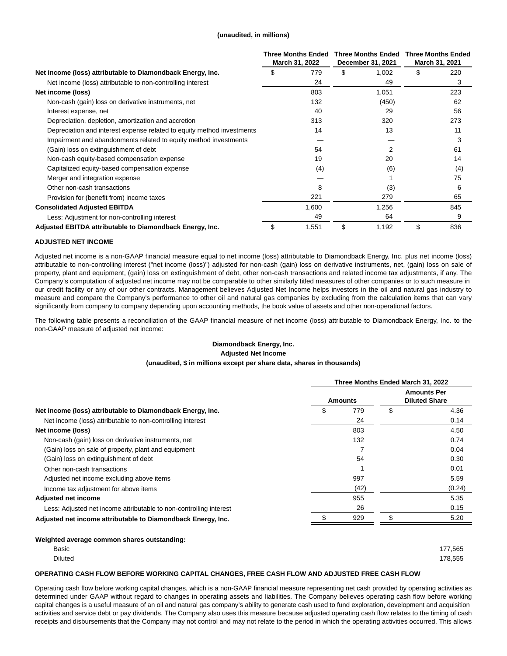### **(unaudited, in millions)**

|                                                                        |    | <b>Three Months Ended</b><br>March 31, 2022 | <b>Three Months Ended</b><br>December 31, 2021 | <b>Three Months Ended</b><br>March 31, 2021 |
|------------------------------------------------------------------------|----|---------------------------------------------|------------------------------------------------|---------------------------------------------|
| Net income (loss) attributable to Diamondback Energy, Inc.             | \$ | 779                                         | \$<br>1,002                                    | \$<br>220                                   |
| Net income (loss) attributable to non-controlling interest             |    | 24                                          | 49                                             | 3                                           |
| Net income (loss)                                                      |    | 803                                         | 1,051                                          | 223                                         |
| Non-cash (gain) loss on derivative instruments, net                    |    | 132                                         | (450)                                          | 62                                          |
| Interest expense, net                                                  |    | 40                                          | 29                                             | 56                                          |
| Depreciation, depletion, amortization and accretion                    |    | 313                                         | 320                                            | 273                                         |
| Depreciation and interest expense related to equity method investments |    | 14                                          | 13                                             | 11                                          |
| Impairment and abandonments related to equity method investments       |    |                                             |                                                | 3                                           |
| (Gain) loss on extinguishment of debt                                  |    | 54                                          | 2                                              | 61                                          |
| Non-cash equity-based compensation expense                             |    | 19                                          | 20                                             | 14                                          |
| Capitalized equity-based compensation expense                          |    | (4)                                         | (6)                                            | (4)                                         |
| Merger and integration expense                                         |    |                                             |                                                | 75                                          |
| Other non-cash transactions                                            |    | 8                                           | (3)                                            | 6                                           |
| Provision for (benefit from) income taxes                              |    | 221                                         | 279                                            | 65                                          |
| <b>Consolidated Adjusted EBITDA</b>                                    |    | 1,600                                       | 1,256                                          | 845                                         |
| Less: Adjustment for non-controlling interest                          |    | 49                                          | 64                                             | 9                                           |
| Adjusted EBITDA attributable to Diamondback Energy, Inc.               | S  | 1,551                                       | \$<br>1,192                                    | \$<br>836                                   |

## **ADJUSTED NET INCOME**

Adjusted net income is a non-GAAP financial measure equal to net income (loss) attributable to Diamondback Energy, Inc. plus net income (loss) attributable to non-controlling interest ("net income (loss)") adjusted for non-cash (gain) loss on derivative instruments, net, (gain) loss on sale of property, plant and equipment, (gain) loss on extinguishment of debt, other non-cash transactions and related income tax adjustments, if any. The Company's computation of adjusted net income may not be comparable to other similarly titled measures of other companies or to such measure in our credit facility or any of our other contracts. Management believes Adjusted Net Income helps investors in the oil and natural gas industry to measure and compare the Company's performance to other oil and natural gas companies by excluding from the calculation items that can vary significantly from company to company depending upon accounting methods, the book value of assets and other non-operational factors.

The following table presents a reconciliation of the GAAP financial measure of net income (loss) attributable to Diamondback Energy, Inc. to the non-GAAP measure of adjusted net income:

#### **Diamondback Energy, Inc. Adjusted Net Income**

#### **(unaudited, \$ in millions except per share data, shares in thousands)**

|                                                                    | Three Months Ended March 31, 2022 |      |    |                                            |  |
|--------------------------------------------------------------------|-----------------------------------|------|----|--------------------------------------------|--|
|                                                                    | <b>Amounts</b>                    |      |    | <b>Amounts Per</b><br><b>Diluted Share</b> |  |
| Net income (loss) attributable to Diamondback Energy, Inc.         |                                   | 779  | \$ | 4.36                                       |  |
| Net income (loss) attributable to non-controlling interest         |                                   | 24   |    | 0.14                                       |  |
| Net income (loss)                                                  |                                   | 803  |    | 4.50                                       |  |
| Non-cash (gain) loss on derivative instruments, net                |                                   | 132  |    | 0.74                                       |  |
| (Gain) loss on sale of property, plant and equipment               |                                   |      |    | 0.04                                       |  |
| (Gain) loss on extinguishment of debt                              |                                   | 54   |    | 0.30                                       |  |
| Other non-cash transactions                                        |                                   |      |    | 0.01                                       |  |
| Adjusted net income excluding above items                          |                                   | 997  |    | 5.59                                       |  |
| Income tax adjustment for above items                              |                                   | (42) |    | (0.24)                                     |  |
| Adjusted net income                                                |                                   | 955  |    | 5.35                                       |  |
| Less: Adjusted net income attributable to non-controlling interest |                                   | 26   |    | 0.15                                       |  |
| Adjusted net income attributable to Diamondback Energy, Inc.       |                                   | 929  |    | 5.20                                       |  |

| Weighted average common shares outstanding: |         |
|---------------------------------------------|---------|
| Basic                                       | 177.565 |
| <b>Diluted</b>                              | 178.555 |

## **OPERATING CASH FLOW BEFORE WORKING CAPITAL CHANGES, FREE CASH FLOW AND ADJUSTED FREE CASH FLOW**

Operating cash flow before working capital changes, which is a non-GAAP financial measure representing net cash provided by operating activities as determined under GAAP without regard to changes in operating assets and liabilities. The Company believes operating cash flow before working capital changes is a useful measure of an oil and natural gas company's ability to generate cash used to fund exploration, development and acquisition activities and service debt or pay dividends. The Company also uses this measure because adjusted operating cash flow relates to the timing of cash receipts and disbursements that the Company may not control and may not relate to the period in which the operating activities occurred. This allows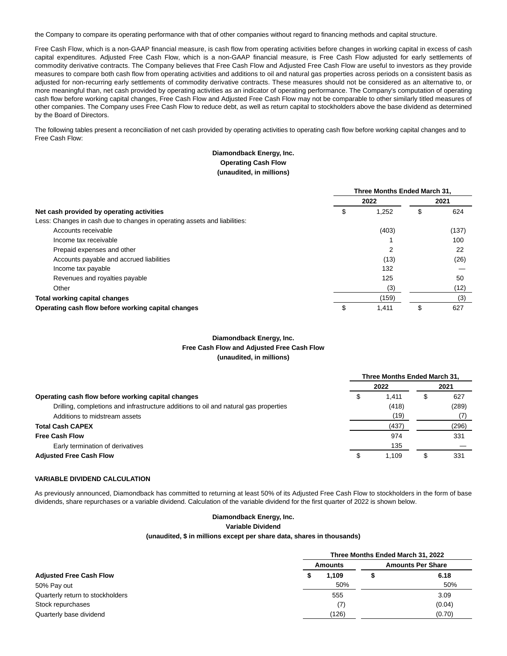the Company to compare its operating performance with that of other companies without regard to financing methods and capital structure.

Free Cash Flow, which is a non-GAAP financial measure, is cash flow from operating activities before changes in working capital in excess of cash capital expenditures. Adjusted Free Cash Flow, which is a non-GAAP financial measure, is Free Cash Flow adjusted for early settlements of commodity derivative contracts. The Company believes that Free Cash Flow and Adjusted Free Cash Flow are useful to investors as they provide measures to compare both cash flow from operating activities and additions to oil and natural gas properties across periods on a consistent basis as adjusted for non-recurring early settlements of commodity derivative contracts. These measures should not be considered as an alternative to, or more meaningful than, net cash provided by operating activities as an indicator of operating performance. The Company's computation of operating cash flow before working capital changes, Free Cash Flow and Adjusted Free Cash Flow may not be comparable to other similarly titled measures of other companies. The Company uses Free Cash Flow to reduce debt, as well as return capital to stockholders above the base dividend as determined by the Board of Directors.

The following tables present a reconciliation of net cash provided by operating activities to operating cash flow before working capital changes and to Free Cash Flow:

# **Diamondback Energy, Inc. Operating Cash Flow (unaudited, in millions)**

|                                                                           |    | Three Months Ended March 31, |    |       |  |  |  |  |
|---------------------------------------------------------------------------|----|------------------------------|----|-------|--|--|--|--|
|                                                                           |    | 2022                         |    | 2021  |  |  |  |  |
| Net cash provided by operating activities                                 | S  | 1.252                        | \$ | 624   |  |  |  |  |
| Less: Changes in cash due to changes in operating assets and liabilities: |    |                              |    |       |  |  |  |  |
| Accounts receivable                                                       |    | (403)                        |    | (137) |  |  |  |  |
| Income tax receivable                                                     |    |                              |    | 100   |  |  |  |  |
| Prepaid expenses and other                                                |    | 2                            |    | 22    |  |  |  |  |
| Accounts payable and accrued liabilities                                  |    | (13)                         |    | (26)  |  |  |  |  |
| Income tax payable                                                        |    | 132                          |    |       |  |  |  |  |
| Revenues and royalties payable                                            |    | 125                          |    | 50    |  |  |  |  |
| Other                                                                     |    | (3)                          |    | (12)  |  |  |  |  |
| Total working capital changes                                             |    | (159)                        |    | (3)   |  |  |  |  |
| Operating cash flow before working capital changes                        | \$ | 1.411                        | \$ | 627   |  |  |  |  |

## **Diamondback Energy, Inc. Free Cash Flow and Adjusted Free Cash Flow (unaudited, in millions)**

|                                                                                      | Three Months Ended March 31, |       |  |       |  |
|--------------------------------------------------------------------------------------|------------------------------|-------|--|-------|--|
|                                                                                      |                              | 2021  |  |       |  |
| Operating cash flow before working capital changes                                   |                              | 1.411 |  | 627   |  |
| Drilling, completions and infrastructure additions to oil and natural gas properties |                              | (418) |  | (289) |  |
| Additions to midstream assets                                                        |                              | (19)  |  |       |  |
| <b>Total Cash CAPEX</b>                                                              |                              | (437) |  | (296) |  |
| <b>Free Cash Flow</b>                                                                |                              | 974   |  | 331   |  |
| Early termination of derivatives                                                     |                              | 135   |  |       |  |
| <b>Adjusted Free Cash Flow</b>                                                       |                              | 1.109 |  | 331   |  |

## **VARIABLE DIVIDEND CALCULATION**

As previously announced, Diamondback has committed to returning at least 50% of its Adjusted Free Cash Flow to stockholders in the form of base dividends, share repurchases or a variable dividend. Calculation of the variable dividend for the first quarter of 2022 is shown below.

#### **Diamondback Energy, Inc. Variable Dividend**

#### **(unaudited, \$ in millions except per share data, shares in thousands)**

|                                  | Three Months Ended March 31, 2022 |                |  |                          |  |  |
|----------------------------------|-----------------------------------|----------------|--|--------------------------|--|--|
|                                  |                                   | <b>Amounts</b> |  | <b>Amounts Per Share</b> |  |  |
| <b>Adjusted Free Cash Flow</b>   |                                   | 1.109          |  | 6.18                     |  |  |
| 50% Pay out                      |                                   | 50%            |  | 50%                      |  |  |
| Quarterly return to stockholders |                                   | 555            |  | 3.09                     |  |  |
| Stock repurchases                |                                   | (7)            |  | (0.04)                   |  |  |
| Quarterly base dividend          |                                   | (126)          |  | (0.70)                   |  |  |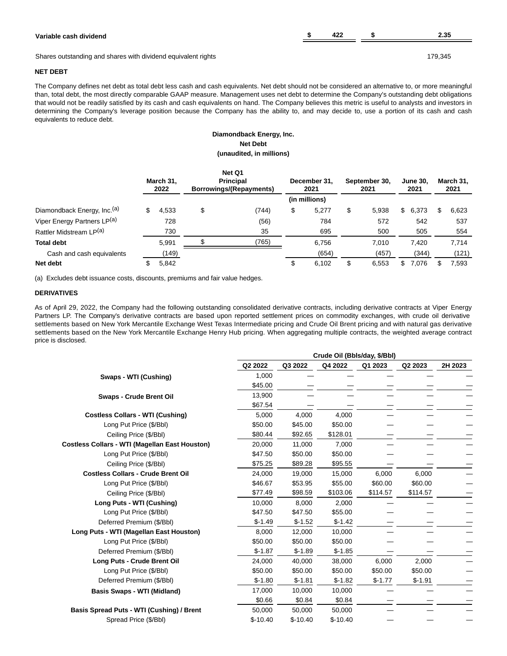**Variable cash dividend \$ 422 \$ 2.35**

Shares outstanding and shares with dividend equivalent rights 179,345

#### **NET DEBT**

The Company defines net debt as total debt less cash and cash equivalents. Net debt should not be considered an alternative to, or more meaningful than, total debt, the most directly comparable GAAP measure. Management uses net debt to determine the Company's outstanding debt obligations that would not be readily satisfied by its cash and cash equivalents on hand. The Company believes this metric is useful to analysts and investors in determining the Company's leverage position because the Company has the ability to, and may decide to, use a portion of its cash and cash equivalents to reduce debt.

# **Diamondback Energy, Inc. Net Debt (unaudited, in millions)**

|                                         | March 31.<br>2022 | Net Q1<br><b>Principal</b><br><b>Borrowings/(Repayments)</b> | December 31.<br>2021<br>(in millions) | September 30,<br>2021 |     | <b>June 30.</b><br>2021 |   | March 31.<br>2021 |
|-----------------------------------------|-------------------|--------------------------------------------------------------|---------------------------------------|-----------------------|-----|-------------------------|---|-------------------|
| Diamondback Energy, Inc. <sup>(a)</sup> | \$<br>4,533       | \$<br>(744)                                                  | \$<br>5.277                           | \$<br>5.938           | \$. | 6,373                   | S | 6,623             |
| Viper Energy Partners LP(a)             | 728               | (56)                                                         | 784                                   | 572                   |     | 542                     |   | 537               |
| Rattler Midstream LP(a)                 | 730               | 35                                                           | 695                                   | 500                   |     | 505                     |   | 554               |
| <b>Total debt</b>                       | 5,991             | (765)                                                        | 6,756                                 | 7.010                 |     | 7.420                   |   | 7,714             |
| Cash and cash equivalents               | (149)             |                                                              | (654)                                 | (457)                 |     | (344)                   |   | (121)             |
| Net debt                                | 5,842             |                                                              | \$<br>6,102                           | \$<br>6.553           | \$  | 7.076                   |   | 7.593             |

(a) Excludes debt issuance costs, discounts, premiums and fair value hedges.

## **DERIVATIVES**

As of April 29, 2022, the Company had the following outstanding consolidated derivative contracts, including derivative contracts at Viper Energy Partners LP. The Company's derivative contracts are based upon reported settlement prices on commodity exchanges, with crude oil derivative settlements based on New York Mercantile Exchange West Texas Intermediate pricing and Crude Oil Brent pricing and with natural gas derivative settlements based on the New York Mercantile Exchange Henry Hub pricing. When aggregating multiple contracts, the weighted average contract price is disclosed.

| Q3 2022<br>Q2 2022<br>Q4 2022<br>Q2 2023<br>Q1 2023<br>1,000<br>Swaps - WTI (Cushing)<br>\$45.00<br>13,900<br><b>Swaps - Crude Brent Oil</b><br>\$67.54<br><b>Costless Collars - WTI (Cushing)</b><br>5,000<br>4,000<br>4,000<br>Long Put Price (\$/Bbl)<br>\$50.00<br>\$45.00<br>\$50.00<br>\$80.44<br>\$92.65<br>\$128.01<br>Ceiling Price (\$/Bbl)<br><b>Costless Collars - WTI (Magellan East Houston)</b><br>11,000<br>7,000<br>20,000<br>Long Put Price (\$/Bbl)<br>\$47.50<br>\$50.00<br>\$50.00<br>\$75.25<br>\$89.28<br>\$95.55<br>Ceiling Price (\$/Bbl)<br><b>Costless Collars - Crude Brent Oil</b><br>6,000<br>24,000<br>19,000<br>15,000<br>6,000<br>Long Put Price (\$/Bbl)<br>\$46.67<br>\$53.95<br>\$55.00<br>\$60.00<br>\$60.00<br>\$77.49<br>\$98.59<br>\$103.06<br>\$114.57<br>\$114.57<br>Ceiling Price (\$/Bbl)<br>Long Puts - WTI (Cushing)<br>10,000<br>8,000<br>2,000<br>\$55.00<br>Long Put Price (\$/Bbl)<br>\$47.50<br>\$47.50<br>Deferred Premium (\$/Bbl)<br>$$-1.49$<br>$$-1.52$<br>$$-1.42$<br>Long Puts - WTI (Magellan East Houston)<br>8,000<br>12,000<br>10,000<br>Long Put Price (\$/Bbl)<br>\$50.00<br>\$50.00<br>\$50.00<br>Deferred Premium (\$/Bbl)<br>$$-1.87$<br>$$-1.89$<br>$$-1.85$<br>2,000<br>Long Puts - Crude Brent Oil<br>24,000<br>40,000<br>38,000<br>6,000<br>Long Put Price (\$/Bbl)<br>\$50.00<br>\$50.00<br>\$50.00<br>\$50.00<br>\$50.00<br>Deferred Premium (\$/Bbl)<br>$$-1.80$<br>$$-1.81$<br>$$-1.82$<br>$$-1.77$<br>$$-1.91$ |                                    | Crude Oil (Bbls/day, \$/Bbl) |        |        |  |  |         |  |  |
|--------------------------------------------------------------------------------------------------------------------------------------------------------------------------------------------------------------------------------------------------------------------------------------------------------------------------------------------------------------------------------------------------------------------------------------------------------------------------------------------------------------------------------------------------------------------------------------------------------------------------------------------------------------------------------------------------------------------------------------------------------------------------------------------------------------------------------------------------------------------------------------------------------------------------------------------------------------------------------------------------------------------------------------------------------------------------------------------------------------------------------------------------------------------------------------------------------------------------------------------------------------------------------------------------------------------------------------------------------------------------------------------------------------------------------------------------------------------------------------------|------------------------------------|------------------------------|--------|--------|--|--|---------|--|--|
|                                                                                                                                                                                                                                                                                                                                                                                                                                                                                                                                                                                                                                                                                                                                                                                                                                                                                                                                                                                                                                                                                                                                                                                                                                                                                                                                                                                                                                                                                            |                                    |                              |        |        |  |  | 2H 2023 |  |  |
|                                                                                                                                                                                                                                                                                                                                                                                                                                                                                                                                                                                                                                                                                                                                                                                                                                                                                                                                                                                                                                                                                                                                                                                                                                                                                                                                                                                                                                                                                            |                                    |                              |        |        |  |  |         |  |  |
|                                                                                                                                                                                                                                                                                                                                                                                                                                                                                                                                                                                                                                                                                                                                                                                                                                                                                                                                                                                                                                                                                                                                                                                                                                                                                                                                                                                                                                                                                            |                                    |                              |        |        |  |  |         |  |  |
|                                                                                                                                                                                                                                                                                                                                                                                                                                                                                                                                                                                                                                                                                                                                                                                                                                                                                                                                                                                                                                                                                                                                                                                                                                                                                                                                                                                                                                                                                            |                                    |                              |        |        |  |  |         |  |  |
|                                                                                                                                                                                                                                                                                                                                                                                                                                                                                                                                                                                                                                                                                                                                                                                                                                                                                                                                                                                                                                                                                                                                                                                                                                                                                                                                                                                                                                                                                            |                                    |                              |        |        |  |  |         |  |  |
|                                                                                                                                                                                                                                                                                                                                                                                                                                                                                                                                                                                                                                                                                                                                                                                                                                                                                                                                                                                                                                                                                                                                                                                                                                                                                                                                                                                                                                                                                            |                                    |                              |        |        |  |  |         |  |  |
|                                                                                                                                                                                                                                                                                                                                                                                                                                                                                                                                                                                                                                                                                                                                                                                                                                                                                                                                                                                                                                                                                                                                                                                                                                                                                                                                                                                                                                                                                            |                                    |                              |        |        |  |  |         |  |  |
|                                                                                                                                                                                                                                                                                                                                                                                                                                                                                                                                                                                                                                                                                                                                                                                                                                                                                                                                                                                                                                                                                                                                                                                                                                                                                                                                                                                                                                                                                            |                                    |                              |        |        |  |  |         |  |  |
|                                                                                                                                                                                                                                                                                                                                                                                                                                                                                                                                                                                                                                                                                                                                                                                                                                                                                                                                                                                                                                                                                                                                                                                                                                                                                                                                                                                                                                                                                            |                                    |                              |        |        |  |  |         |  |  |
|                                                                                                                                                                                                                                                                                                                                                                                                                                                                                                                                                                                                                                                                                                                                                                                                                                                                                                                                                                                                                                                                                                                                                                                                                                                                                                                                                                                                                                                                                            |                                    |                              |        |        |  |  |         |  |  |
|                                                                                                                                                                                                                                                                                                                                                                                                                                                                                                                                                                                                                                                                                                                                                                                                                                                                                                                                                                                                                                                                                                                                                                                                                                                                                                                                                                                                                                                                                            |                                    |                              |        |        |  |  |         |  |  |
|                                                                                                                                                                                                                                                                                                                                                                                                                                                                                                                                                                                                                                                                                                                                                                                                                                                                                                                                                                                                                                                                                                                                                                                                                                                                                                                                                                                                                                                                                            |                                    |                              |        |        |  |  |         |  |  |
|                                                                                                                                                                                                                                                                                                                                                                                                                                                                                                                                                                                                                                                                                                                                                                                                                                                                                                                                                                                                                                                                                                                                                                                                                                                                                                                                                                                                                                                                                            |                                    |                              |        |        |  |  |         |  |  |
|                                                                                                                                                                                                                                                                                                                                                                                                                                                                                                                                                                                                                                                                                                                                                                                                                                                                                                                                                                                                                                                                                                                                                                                                                                                                                                                                                                                                                                                                                            |                                    |                              |        |        |  |  |         |  |  |
|                                                                                                                                                                                                                                                                                                                                                                                                                                                                                                                                                                                                                                                                                                                                                                                                                                                                                                                                                                                                                                                                                                                                                                                                                                                                                                                                                                                                                                                                                            |                                    |                              |        |        |  |  |         |  |  |
|                                                                                                                                                                                                                                                                                                                                                                                                                                                                                                                                                                                                                                                                                                                                                                                                                                                                                                                                                                                                                                                                                                                                                                                                                                                                                                                                                                                                                                                                                            |                                    |                              |        |        |  |  |         |  |  |
|                                                                                                                                                                                                                                                                                                                                                                                                                                                                                                                                                                                                                                                                                                                                                                                                                                                                                                                                                                                                                                                                                                                                                                                                                                                                                                                                                                                                                                                                                            |                                    |                              |        |        |  |  |         |  |  |
|                                                                                                                                                                                                                                                                                                                                                                                                                                                                                                                                                                                                                                                                                                                                                                                                                                                                                                                                                                                                                                                                                                                                                                                                                                                                                                                                                                                                                                                                                            |                                    |                              |        |        |  |  |         |  |  |
|                                                                                                                                                                                                                                                                                                                                                                                                                                                                                                                                                                                                                                                                                                                                                                                                                                                                                                                                                                                                                                                                                                                                                                                                                                                                                                                                                                                                                                                                                            |                                    |                              |        |        |  |  |         |  |  |
|                                                                                                                                                                                                                                                                                                                                                                                                                                                                                                                                                                                                                                                                                                                                                                                                                                                                                                                                                                                                                                                                                                                                                                                                                                                                                                                                                                                                                                                                                            |                                    |                              |        |        |  |  |         |  |  |
|                                                                                                                                                                                                                                                                                                                                                                                                                                                                                                                                                                                                                                                                                                                                                                                                                                                                                                                                                                                                                                                                                                                                                                                                                                                                                                                                                                                                                                                                                            |                                    |                              |        |        |  |  |         |  |  |
|                                                                                                                                                                                                                                                                                                                                                                                                                                                                                                                                                                                                                                                                                                                                                                                                                                                                                                                                                                                                                                                                                                                                                                                                                                                                                                                                                                                                                                                                                            |                                    |                              |        |        |  |  |         |  |  |
|                                                                                                                                                                                                                                                                                                                                                                                                                                                                                                                                                                                                                                                                                                                                                                                                                                                                                                                                                                                                                                                                                                                                                                                                                                                                                                                                                                                                                                                                                            |                                    |                              |        |        |  |  |         |  |  |
|                                                                                                                                                                                                                                                                                                                                                                                                                                                                                                                                                                                                                                                                                                                                                                                                                                                                                                                                                                                                                                                                                                                                                                                                                                                                                                                                                                                                                                                                                            | <b>Basis Swaps - WTI (Midland)</b> | 17,000                       | 10,000 | 10,000 |  |  |         |  |  |
| \$0.66<br>\$0.84<br>\$0.84                                                                                                                                                                                                                                                                                                                                                                                                                                                                                                                                                                                                                                                                                                                                                                                                                                                                                                                                                                                                                                                                                                                                                                                                                                                                                                                                                                                                                                                                 |                                    |                              |        |        |  |  |         |  |  |
| Basis Spread Puts - WTI (Cushing) / Brent<br>50,000<br>50.000<br>50.000                                                                                                                                                                                                                                                                                                                                                                                                                                                                                                                                                                                                                                                                                                                                                                                                                                                                                                                                                                                                                                                                                                                                                                                                                                                                                                                                                                                                                    |                                    |                              |        |        |  |  |         |  |  |
| Spread Price (\$/Bbl)<br>$$-10.40$<br>$$-10.40$<br>$$-10.40$                                                                                                                                                                                                                                                                                                                                                                                                                                                                                                                                                                                                                                                                                                                                                                                                                                                                                                                                                                                                                                                                                                                                                                                                                                                                                                                                                                                                                               |                                    |                              |        |        |  |  |         |  |  |